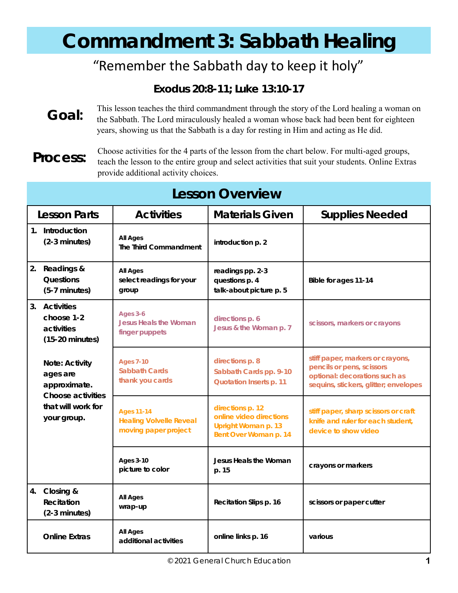### **Commandment 3: Sabbath Healing**

#### "Remember the Sabbath day to keep it holy"

**Exodus 20:8-11; Luke 13:10-17**

**Goal:**  This lesson teaches the third commandment through the story of the Lord healing a woman on the Sabbath. The Lord miraculously healed a woman whose back had been bent for eighteen years, showing us that the Sabbath is a day for resting in Him and acting as He did.

**Process:**

Choose activities for the 4 parts of the lesson from the chart below. For multi-aged groups, teach the lesson to the entire group and select activities that suit your students. Online Extras provide additional activity choices.

| <b>Lesson Overview</b> |                                                                                                      |                                                                             |                                                                                             |                                                                                                                                         |  |  |
|------------------------|------------------------------------------------------------------------------------------------------|-----------------------------------------------------------------------------|---------------------------------------------------------------------------------------------|-----------------------------------------------------------------------------------------------------------------------------------------|--|--|
| Lesson Parts           |                                                                                                      | <b>Activities</b>                                                           | <b>Materials Given</b>                                                                      | <b>Supplies Needed</b>                                                                                                                  |  |  |
|                        | 1. Introduction<br>$(2-3$ minutes)                                                                   | All Ages<br>The Third Commandment                                           | introduction p. 2                                                                           |                                                                                                                                         |  |  |
| 2.                     | Readings &<br>Questions<br>(5-7 minutes)                                                             | All Ages<br>select readings for your<br>group                               | readings pp. 2-3<br>questions p. 4<br>talk-about picture p. 5                               | Bible for ages 11-14                                                                                                                    |  |  |
| 3.                     | <b>Activities</b><br>choose 1-2<br>activities<br>$(15-20 \text{ minutes})$                           | Ages 3-6<br>Jesus Heals the Woman<br>finger puppets                         | directions p. 6<br>Jesus & the Woman p. 7                                                   | scissors, markers or crayons                                                                                                            |  |  |
|                        | Note: Activity<br>ages are<br>approximate.<br>Choose activities<br>that will work for<br>your group. | <b>Ages 7-10</b><br>Sabbath Cards<br>thank you cards                        | directions p. 8<br>Sabbath Cards pp. 9-10<br>Quotation Inserts p. 11                        | stiff paper, markers or crayons,<br>pencils or pens, scissors<br>optional: decorations such as<br>sequins, stickers, glitter; envelopes |  |  |
|                        |                                                                                                      | <b>Ages 11-14</b><br><b>Healing Volvelle Reveal</b><br>moving paper project | directions p. 12<br>online video directions<br>Upright Woman p. 13<br>Bent Over Woman p. 14 | stiff paper, sharp scissors or craft<br>knife and ruler for each student,<br>device to show video                                       |  |  |
|                        |                                                                                                      | Ages 3-10<br>picture to color                                               | Jesus Heals the Woman<br>p. 15                                                              | crayons or markers                                                                                                                      |  |  |
| 4.                     | Closing &<br>Recitation<br>$(2-3$ minutes)                                                           | All Ages<br>wrap-up                                                         | Recitation Slips p. 16                                                                      | scissors or paper cutter                                                                                                                |  |  |
|                        | <b>Online Extras</b>                                                                                 | All Ages<br>additional activities                                           | online links p. 16                                                                          | various                                                                                                                                 |  |  |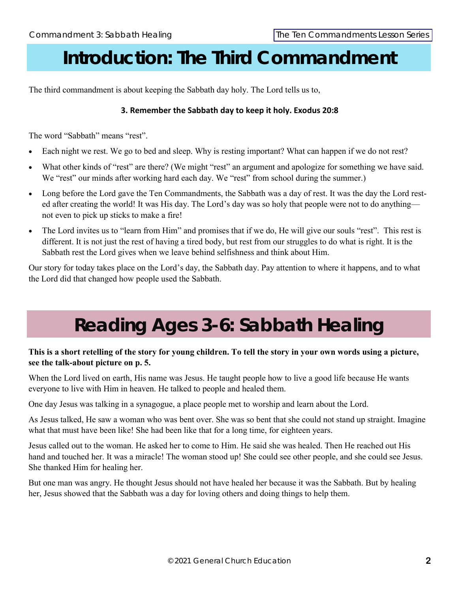### **Introduction: The Third Commandment**

The third commandment is about keeping the Sabbath day holy. The Lord tells us to,

#### **3. Remember the Sabbath day to keep it holy. Exodus 20:8**

The word "Sabbath" means "rest".

- Each night we rest. We go to bed and sleep. Why is resting important? What can happen if we do not rest?
- What other kinds of "rest" are there? (We might "rest" an argument and apologize for something we have said. We "rest" our minds after working hard each day. We "rest" from school during the summer.)
- Long before the Lord gave the Ten Commandments, the Sabbath was a day of rest. It was the day the Lord rested after creating the world! It was His day. The Lord's day was so holy that people were not to do anything not even to pick up sticks to make a fire!
- The Lord invites us to "learn from Him" and promises that if we do, He will give our souls "rest". This rest is different. It is not just the rest of having a tired body, but rest from our struggles to do what is right. It is the Sabbath rest the Lord gives when we leave behind selfishness and think about Him.

Our story for today takes place on the Lord's day, the Sabbath day. Pay attention to where it happens, and to what the Lord did that changed how people used the Sabbath.

### **Reading Ages 3-6: Sabbath Healing**

#### **This is a short retelling of the story for young children. To tell the story in your own words using a picture, see the talk-about picture on p. 5.**

When the Lord lived on earth, His name was Jesus. He taught people how to live a good life because He wants everyone to live with Him in heaven. He talked to people and healed them.

One day Jesus was talking in a synagogue, a place people met to worship and learn about the Lord.

As Jesus talked, He saw a woman who was bent over. She was so bent that she could not stand up straight. Imagine what that must have been like! She had been like that for a long time, for eighteen years.

Jesus called out to the woman. He asked her to come to Him. He said she was healed. Then He reached out His hand and touched her. It was a miracle! The woman stood up! She could see other people, and she could see Jesus. She thanked Him for healing her.

But one man was angry. He thought Jesus should not have healed her because it was the Sabbath. But by healing her, Jesus showed that the Sabbath was a day for loving others and doing things to help them.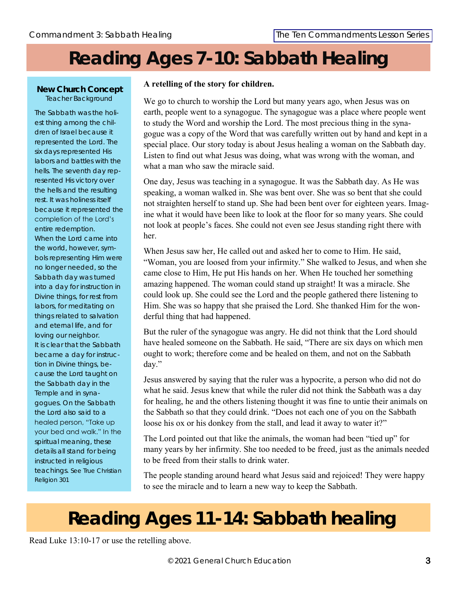## **Reading Ages 7-10: Sabbath Healing**

#### **New Church Concept** Teacher Background

The Sabbath was the holiest thing among the children of Israel because it represented the Lord. The six days represented His labors and battles with the hells. The seventh day represented His victory over the hells and the resulting rest. It was holiness itself because it represented the completion of the Lord's entire redemption. When the Lord came into the world, however, symbols representing Him were no longer needed, so the Sabbath day was turned into a day for instruction in Divine things, for rest from labors, for meditating on things related to salvation and eternal life, and for loving our neighbor. It is clear that the Sabbath became a day for instruction in Divine things, because the Lord taught on the Sabbath day in the Temple and in synagogues. On the Sabbath the Lord also said to a healed person, "Take up your bed and walk." In the spiritual meaning, these details all stand for being instructed in religious teachings. See *True Christian Religion* 301

#### **A retelling of the story for children.**

We go to church to worship the Lord but many years ago, when Jesus was on earth, people went to a synagogue. The synagogue was a place where people went to study the Word and worship the Lord. The most precious thing in the synagogue was a copy of the Word that was carefully written out by hand and kept in a special place. Our story today is about Jesus healing a woman on the Sabbath day. Listen to find out what Jesus was doing, what was wrong with the woman, and what a man who saw the miracle said.

One day, Jesus was teaching in a synagogue. It was the Sabbath day. As He was speaking, a woman walked in. She was bent over. She was so bent that she could not straighten herself to stand up. She had been bent over for eighteen years. Imagine what it would have been like to look at the floor for so many years. She could not look at people's faces. She could not even see Jesus standing right there with her.

When Jesus saw her, He called out and asked her to come to Him. He said, "Woman, you are loosed from your infirmity." She walked to Jesus, and when she came close to Him, He put His hands on her. When He touched her something amazing happened. The woman could stand up straight! It was a miracle. She could look up. She could see the Lord and the people gathered there listening to Him. She was so happy that she praised the Lord. She thanked Him for the wonderful thing that had happened.

But the ruler of the synagogue was angry. He did not think that the Lord should have healed someone on the Sabbath. He said, "There are six days on which men ought to work; therefore come and be healed on them, and not on the Sabbath day."

Jesus answered by saying that the ruler was a hypocrite, a person who did not do what he said. Jesus knew that while the ruler did not think the Sabbath was a day for healing, he and the others listening thought it was fine to untie their animals on the Sabbath so that they could drink. "Does not each one of you on the Sabbath loose his ox or his donkey from the stall, and lead it away to water it?"

The Lord pointed out that like the animals, the woman had been "tied up" for many years by her infirmity. She too needed to be freed, just as the animals needed to be freed from their stalls to drink water.

The people standing around heard what Jesus said and rejoiced! They were happy to see the miracle and to learn a new way to keep the Sabbath.

### **Reading Ages 11-14: Sabbath healing**

Read Luke 13:10-17 or use the retelling above.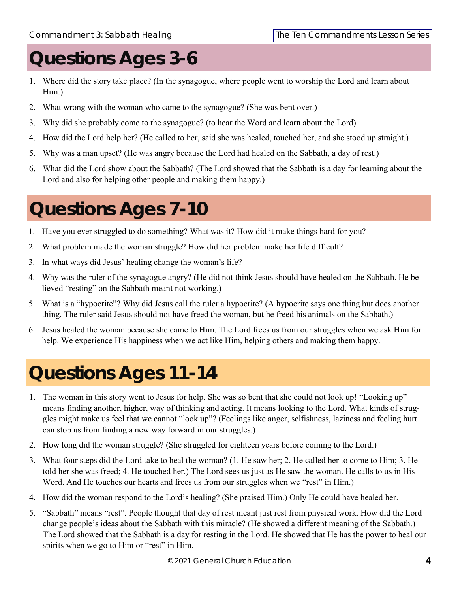#### **Questions Ages 3-6**

- 1. Where did the story take place? (In the synagogue, where people went to worship the Lord and learn about Him.)
- 2. What wrong with the woman who came to the synagogue? (She was bent over.)
- 3. Why did she probably come to the synagogue? (to hear the Word and learn about the Lord)
- 4. How did the Lord help her? (He called to her, said she was healed, touched her, and she stood up straight.)
- 5. Why was a man upset? (He was angry because the Lord had healed on the Sabbath, a day of rest.)
- 6. What did the Lord show about the Sabbath? (The Lord showed that the Sabbath is a day for learning about the Lord and also for helping other people and making them happy.)

### **Questions Ages 7-10**

- 1. Have you ever struggled to do something? What was it? How did it make things hard for you?
- 2. What problem made the woman struggle? How did her problem make her life difficult?
- 3. In what ways did Jesus' healing change the woman's life?
- 4. Why was the ruler of the synagogue angry? (He did not think Jesus should have healed on the Sabbath. He believed "resting" on the Sabbath meant not working.)
- 5. What is a "hypocrite"? Why did Jesus call the ruler a hypocrite? (A hypocrite says one thing but does another thing. The ruler said Jesus should not have freed the woman, but he freed his animals on the Sabbath.)
- 6. Jesus healed the woman because she came to Him. The Lord frees us from our struggles when we ask Him for help. We experience His happiness when we act like Him, helping others and making them happy.

### **Questions Ages 11-14**

- 1. The woman in this story went to Jesus for help. She was so bent that she could not look up! "Looking up" means finding another, higher, way of thinking and acting. It means looking to the Lord. What kinds of struggles might make us feel that we cannot "look up"? (Feelings like anger, selfishness, laziness and feeling hurt can stop us from finding a new way forward in our struggles.)
- 2. How long did the woman struggle? (She struggled for eighteen years before coming to the Lord.)
- 3. What four steps did the Lord take to heal the woman? (1. He saw her; 2. He called her to come to Him; 3. He told her she was freed; 4. He touched her.) The Lord sees us just as He saw the woman. He calls to us in His Word. And He touches our hearts and frees us from our struggles when we "rest" in Him.)
- 4. How did the woman respond to the Lord's healing? (She praised Him.) Only He could have healed her.
- 5. "Sabbath" means "rest". People thought that day of rest meant just rest from physical work. How did the Lord change people's ideas about the Sabbath with this miracle? (He showed a different meaning of the Sabbath.) The Lord showed that the Sabbath is a day for resting in the Lord. He showed that He has the power to heal our spirits when we go to Him or "rest" in Him.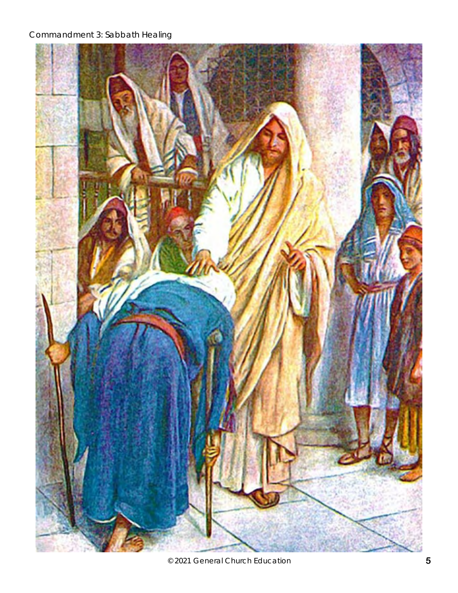#### Commandment 3: Sabbath Healing

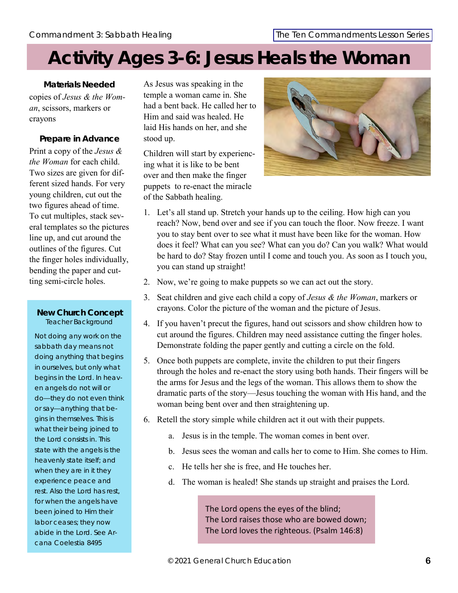### **Activity Ages 3-6: Jesus Heals the Woman**

**Materials Needed** copies of *Jesus & the Woman*, scissors, markers or crayons

#### **Prepare in Advance**

Print a copy of the *Jesus & the Woman* for each child. Two sizes are given for different sized hands. For very young children, cut out the two figures ahead of time. To cut multiples, stack several templates so the pictures line up, and cut around the outlines of the figures. Cut the finger holes individually, bending the paper and cutting semi-circle holes.

#### **New Church Concept** Teacher Background

Not doing any work on the sabbath day means not doing anything that begins in ourselves, but only what begins in the Lord. In heaven angels do not will or do—they do not even think or say—anything that begins in themselves. This is what their being joined to the Lord consists in. This state with the angels is the heavenly state itself; and when they are in it they experience peace and rest. Also the Lord has rest, for when the angels have been joined to Him their labor ceases; they now abide in the Lord. See *Arcana Coelestia* 8495

As Jesus was speaking in the temple a woman came in. She had a bent back. He called her to Him and said was healed. He laid His hands on her, and she stood up.

Children will start by experiencing what it is like to be bent over and then make the finger puppets to re-enact the miracle of the Sabbath healing.



- 1. Let's all stand up. Stretch your hands up to the ceiling. How high can you reach? Now, bend over and see if you can touch the floor. Now freeze. I want you to stay bent over to see what it must have been like for the woman. How does it feel? What can you see? What can you do? Can you walk? What would be hard to do? Stay frozen until I come and touch you. As soon as I touch you, you can stand up straight!
- 2. Now, we're going to make puppets so we can act out the story.
- 3. Seat children and give each child a copy of *Jesus & the Woman*, markers or crayons. Color the picture of the woman and the picture of Jesus.
- 4. If you haven't precut the figures, hand out scissors and show children how to cut around the figures. Children may need assistance cutting the finger holes. Demonstrate folding the paper gently and cutting a circle on the fold.
- 5. Once both puppets are complete, invite the children to put their fingers through the holes and re-enact the story using both hands. Their fingers will be the arms for Jesus and the legs of the woman. This allows them to show the dramatic parts of the story—Jesus touching the woman with His hand, and the woman being bent over and then straightening up.
- 6. Retell the story simple while children act it out with their puppets.
	- a. Jesus is in the temple. The woman comes in bent over.
	- b. Jesus sees the woman and calls her to come to Him. She comes to Him.
	- c. He tells her she is free, and He touches her.
	- d. The woman is healed! She stands up straight and praises the Lord.

The Lord opens the eyes of the blind; The Lord raises those who are bowed down; The Lord loves the righteous. (Psalm 146:8)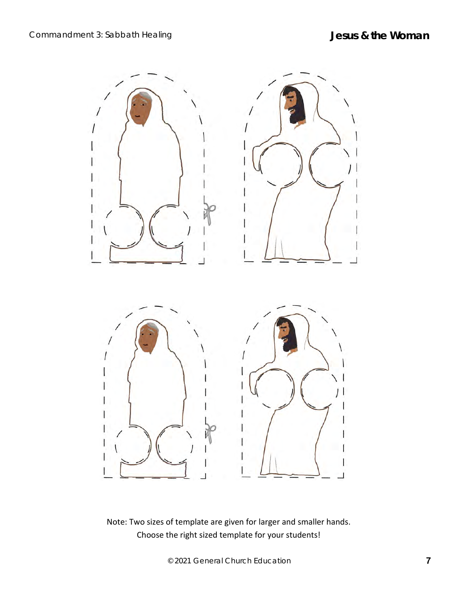

Note: Two sizes of template are given for larger and smaller hands. Choose the right sized template for your students!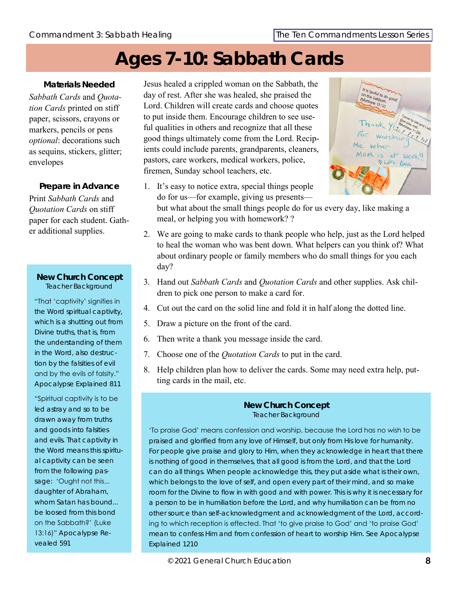### **Ages 7-10: Sabbath Cards**

**Materials Needed** *Sabbath Cards* and *Quotation Cards* printed on stiff paper, scissors, crayons or markers, pencils or pens *optional*: decorations such as sequins, stickers, glitter; envelopes

**Prepare in Advance** Print *Sabbath Cards* and *Quotation Cards* on stiff paper for each student. Gather additional supplies.

#### **New Church Concept** Teacher Background

"That 'captivity' signifies in the Word spiritual captivity, which is a shutting out from Divine truths, that is, from the understanding of them in the Word, also destruction by the falsities of evil and by the evils of falsity." *Apocalypse Explained* 811

"Spiritual captivity is to be led astray and so to be drawn away from truths and goods into falsities and evils. That captivity in the Word means this spiritual captivity can be seen from the following passage: 'Ought not this... daughter of Abraham, whom Satan has bound... be loosed from this bond on the Sabbath?' (Luke 13:16)" *Apocalypse Revealed* 591

Jesus healed a crippled woman on the Sabbath, the day of rest. After she was healed, she praised the Lord. Children will create cards and choose quotes to put inside them. Encourage children to see useful qualities in others and recognize that all these good things ultimately come from the Lord. Recipients could include parents, grandparents, cleaners, pastors, care workers, medical workers, police, firemen, Sunday school teachers, etc.

1. It's easy to notice extra, special things people do for us—for example, giving us presents—

but what about the small things people do for us every day, like making a meal, or helping you with homework? ?

- 2. We are going to make cards to thank people who help, just as the Lord helped to heal the woman who was bent down. What helpers can you think of? What about ordinary people or family members who do small things for you each day?
- 3. Hand out *Sabbath Cards* and *Quotation Cards* and other supplies. Ask children to pick one person to make a card for.
- 4. Cut out the card on the solid line and fold it in half along the dotted line.
- 5. Draw a picture on the front of the card.
- 6. Then write a thank you message inside the card.
- 7. Choose one of the *Quotation Cards* to put in the card.
- 8. Help children plan how to deliver the cards. Some may need extra help, putting cards in the mail, etc.

#### **New Church Concept** Teacher Background

'To praise God' means confession and worship, because the Lord has no wish to be praised and glorified from any love of Himself, but only from His love for humanity. For people give praise and glory to Him, when they acknowledge in heart that there is nothing of good in themselves, that all good is from the Lord, and that the Lord can do all things. When people acknowledge this, they put aside what is their own, which belongs to the love of self, and open every part of their mind, and so make room for the Divine to flow in with good and with power. This is why it is necessary for a person to be in humiliation before the Lord, and why humiliation can be from no other source than self-acknowledgment and acknowledgment of the Lord, according to which reception is effected. That 'to give praise to God' and 'to praise God' mean to confess Him and from confession of heart to worship Him. See *Apocalypse Explained* 1210

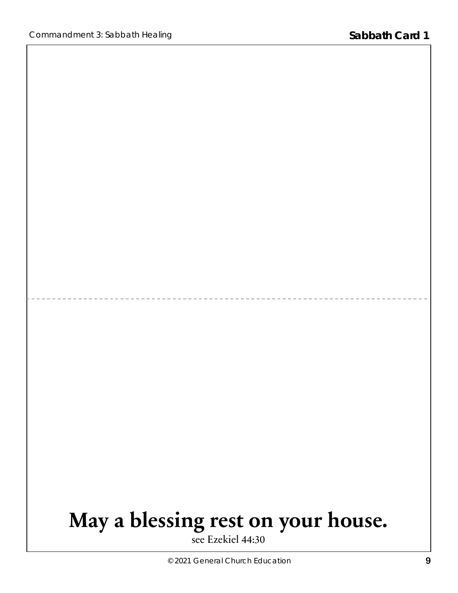# **May a blessing rest on your house.**

see Ezekiel 44:30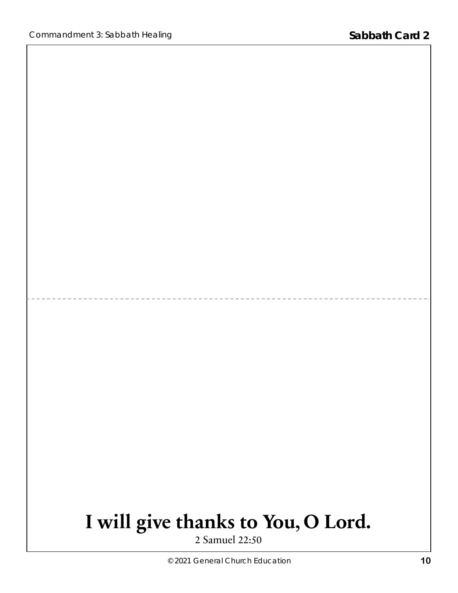# **I will give thanks to You, O Lord.**

2 Samuel 22:50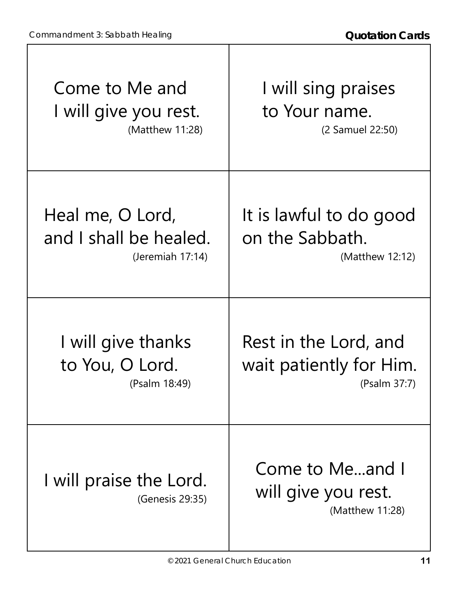٦

| Come to Me and                             | I will sing praises                                       |
|--------------------------------------------|-----------------------------------------------------------|
| I will give you rest.                      | to Your name.                                             |
| (Matthew 11:28)                            | (2 Samuel 22:50)                                          |
| Heal me, O Lord,                           | It is lawful to do good                                   |
| and I shall be healed.                     | on the Sabbath.                                           |
| (Jeremiah 17:14)                           | (Matthew 12:12)                                           |
| I will give thanks                         | Rest in the Lord, and                                     |
| to You, O Lord.                            | wait patiently for Him.                                   |
| (Psalm 18:49)                              | (Psalm 37:7)                                              |
| I will praise the Lord.<br>(Genesis 29:35) | Come to Meand I<br>will give you rest.<br>(Matthew 11:28) |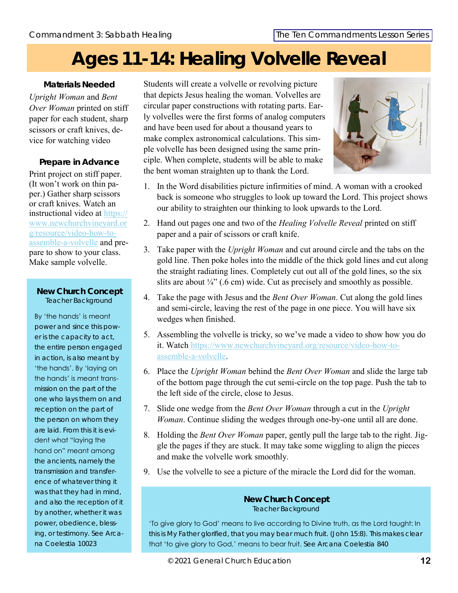### **Ages 11-14: Healing Volvelle Reveal**

**Materials Needed** *Upright Woman* and *Bent Over Woman* printed on stiff paper for each student, sharp scissors or craft knives, device for watching video

#### **Prepare in Advance**

Print project on stiff paper. (It won't work on thin paper.) Gather sharp scissors or craft knives. Watch an instructional video at [https://](https://www.newchurchvineyard.org/resource/video-how-to-assemble-a-volvelle/) [www.newchurchvineyard.or](https://www.newchurchvineyard.org/resource/video-how-to-assemble-a-volvelle/) [g/resource/video-how-to](https://www.newchurchvineyard.org/resource/video-how-to-assemble-a-volvelle/)[assemble-a-volvelle](https://www.newchurchvineyard.org/resource/video-how-to-assemble-a-volvelle/) and prepare to show to your class. Make sample volvelle.

#### **New Church Concept** Teacher Background

By 'the hands' is meant power and since this power is the capacity to act, the entire person engaged in action, is also meant by 'the hands'. By 'laying on the hands' is meant transmission on the part of the one who lays them on and reception on the part of the person on whom they are laid. From this it is evident what "laying the hand on" meant among the ancients, namely the transmission and transference of whatever thing it was that they had in mind, and also the reception of it by another, whether it was power, obedience, blessing, or testimony. See *Arcana Coelestia* 10023

Students will create a volvelle or revolving picture that depicts Jesus healing the woman. Volvelles are circular paper constructions with rotating parts. Early volvelles were the first forms of analog computers and have been used for about a thousand years to make complex astronomical calculations. This simple volvelle has been designed using the same principle. When complete, students will be able to make the bent woman straighten up to thank the Lord.



- 1. In the Word disabilities picture infirmities of mind. A woman with a crooked back is someone who struggles to look up toward the Lord. This project shows our ability to straighten our thinking to look upwards to the Lord.
- 2. Hand out pages one and two of the *Healing Volvelle Reveal* printed on stiff paper and a pair of scissors or craft knife.
- 3. Take paper with the *Upright Woman* and cut around circle and the tabs on the gold line. Then poke holes into the middle of the thick gold lines and cut along the straight radiating lines. Completely cut out all of the gold lines, so the six slits are about  $\frac{1}{4}$  (.6 cm) wide. Cut as precisely and smoothly as possible.
- 4. Take the page with Jesus and the *Bent Over Woman*. Cut along the gold lines and semi-circle, leaving the rest of the page in one piece. You will have six wedges when finished.
- 5. Assembling the volvelle is tricky, so we've made a video to show how you do it. Watch [https://www.newchurchvineyard.org/resource/video-how-to](https://www.newchurchvineyard.org/resource/video-how-to-assemble-a-volvelle/)[assemble-a-volvelle.](https://www.newchurchvineyard.org/resource/video-how-to-assemble-a-volvelle/)
- 6. Place the *Upright Woman* behind the *Bent Over Woman* and slide the large tab of the bottom page through the cut semi-circle on the top page. Push the tab to the left side of the circle, close to Jesus.
- 7. Slide one wedge from the *Bent Over Woman* through a cut in the *Upright Woman*. Continue sliding the wedges through one-by-one until all are done.
- 8. Holding the *Bent Over Woman* paper, gently pull the large tab to the right. Jiggle the pages if they are stuck. It may take some wiggling to align the pieces and make the volvelle work smoothly.
- 9. Use the volvelle to see a picture of the miracle the Lord did for the woman.

**New Church Concept** Teacher Background

'To give glory to God' means to live according to Divine truth, as the Lord taught: In this is My Father glorified, that you may bear much fruit. (John 15:8). This makes clear that 'to give glory to God,' means to bear fruit. See *Arcana Coelestia* 840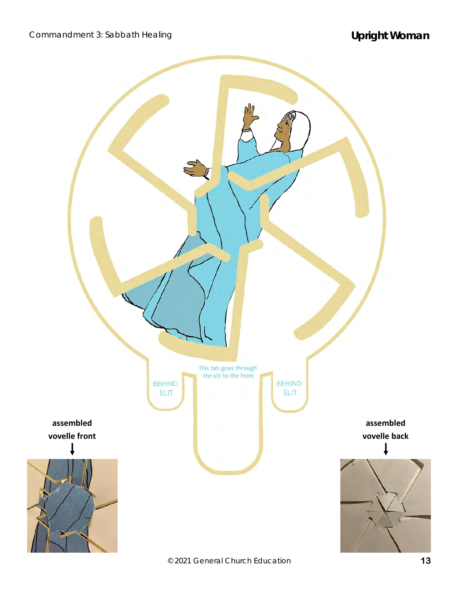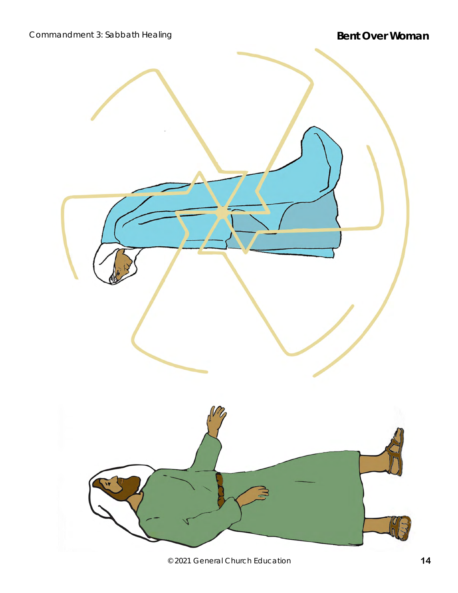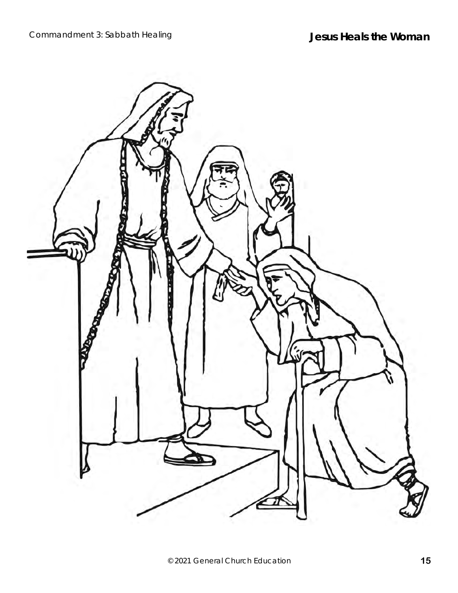